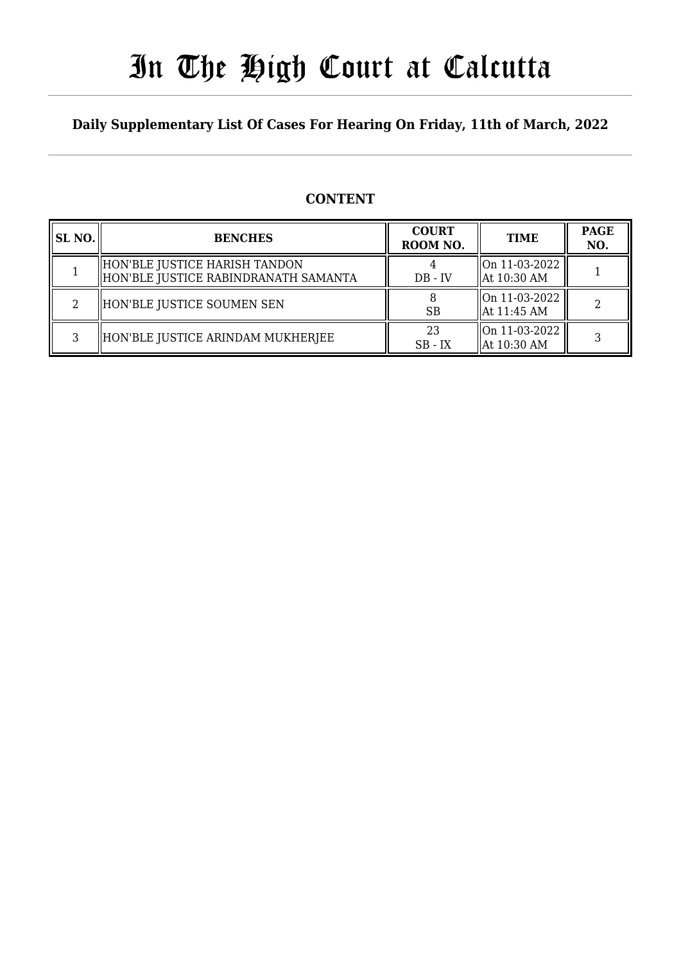# In The High Court at Calcutta

## **Daily Supplementary List Of Cases For Hearing On Friday, 11th of March, 2022**

## **CONTENT**

| <b>SL NO.</b> | <b>BENCHES</b>                                                        | <b>COURT</b><br>ROOM NO. | <b>TIME</b>                    | <b>PAGE</b><br>NO. |
|---------------|-----------------------------------------------------------------------|--------------------------|--------------------------------|--------------------|
|               | HON'BLE JUSTICE HARISH TANDON<br>HON'BLE JUSTICE RABINDRANATH SAMANTA | $DB - IV$                | On 11-03-2022<br>  At 10:30 AM |                    |
| າ             | HON'BLE JUSTICE SOUMEN SEN                                            | <b>SB</b>                | On 11-03-2022<br>  At 11:45 AM |                    |
| 3             | HON'BLE JUSTICE ARINDAM MUKHERJEE                                     | 23<br>$SB - IX$          | On 11-03-2022<br>  At 10:30 AM |                    |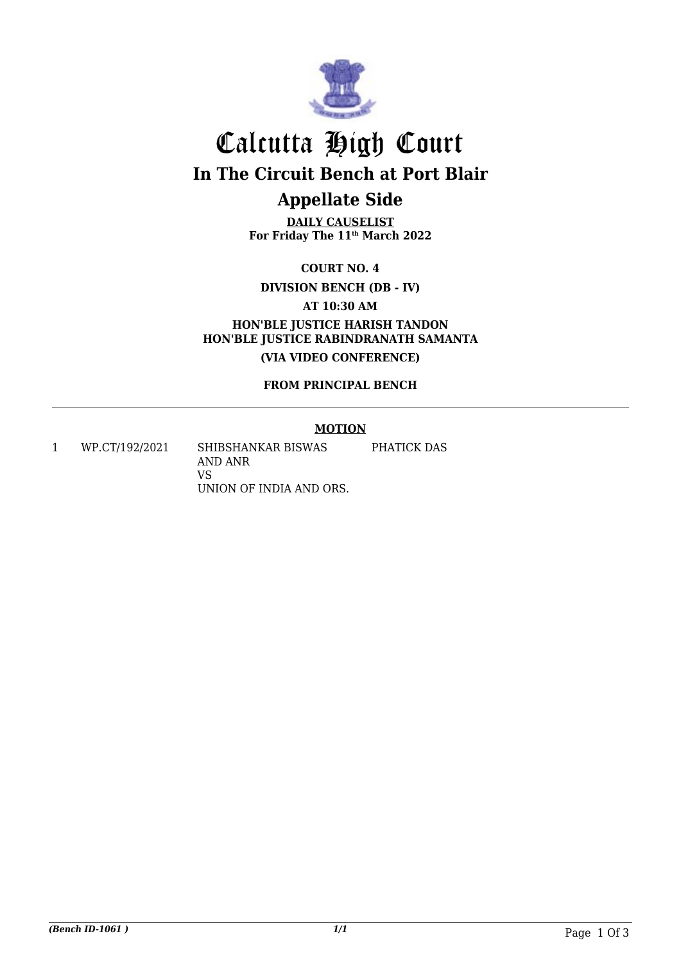

## Calcutta High Court **In The Circuit Bench at Port Blair Appellate Side**

**DAILY CAUSELIST For Friday The 11th March 2022**

**COURT NO. 4**

**DIVISION BENCH (DB - IV)**

**AT 10:30 AM**

**HON'BLE JUSTICE HARISH TANDON HON'BLE JUSTICE RABINDRANATH SAMANTA (VIA VIDEO CONFERENCE)**

**FROM PRINCIPAL BENCH**

## **MOTION**

1 WP.CT/192/2021 SHIBSHANKAR BISWAS AND ANR VS UNION OF INDIA AND ORS. PHATICK DAS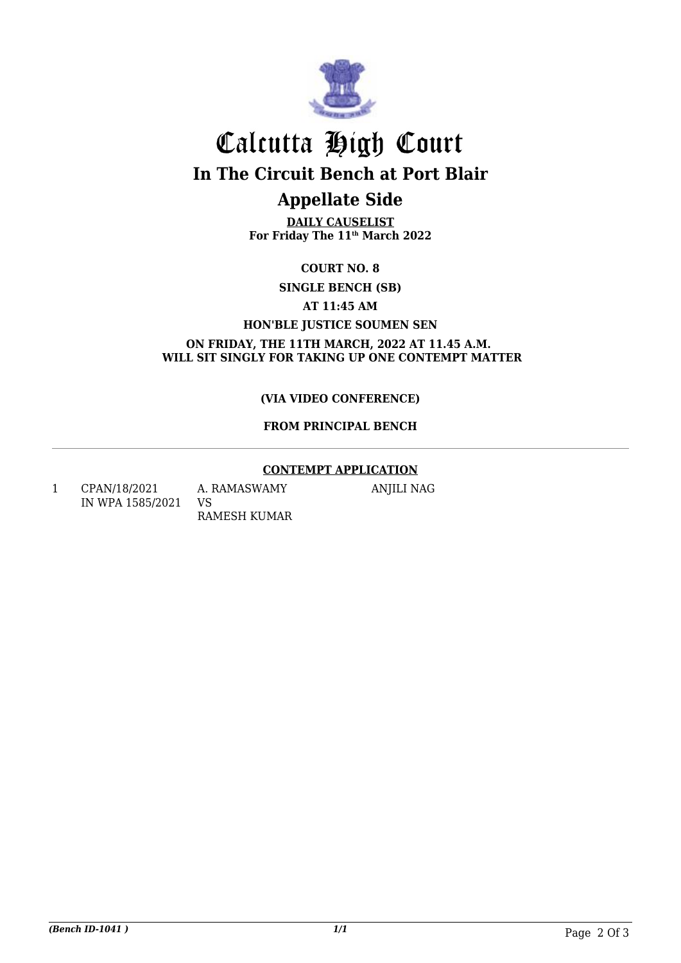

# Calcutta High Court **In The Circuit Bench at Port Blair**

## **Appellate Side**

**DAILY CAUSELIST For Friday The 11th March 2022**

**COURT NO. 8**

**SINGLE BENCH (SB)**

**AT 11:45 AM**

**HON'BLE JUSTICE SOUMEN SEN**

**ON FRIDAY, THE 11TH MARCH, 2022 AT 11.45 A.M. WILL SIT SINGLY FOR TAKING UP ONE CONTEMPT MATTER**

## **(VIA VIDEO CONFERENCE)**

## **FROM PRINCIPAL BENCH**

### **CONTEMPT APPLICATION**

1 CPAN/18/2021 IN WPA 1585/2021

A. RAMASWAMY VS RAMESH KUMAR ANJILI NAG